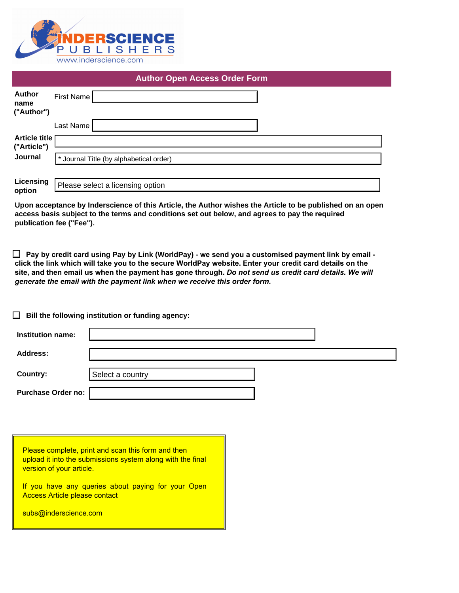

|                                     | <b>Author Open Access Order Form</b>    |
|-------------------------------------|-----------------------------------------|
| <b>Author</b><br>name<br>("Author") | <b>First Name</b>                       |
|                                     | Last Name                               |
| <b>Article title</b><br>("Article") |                                         |
| Journal                             | * Journal Title (by alphabetical order) |
| Licensing<br>option                 | Please select a licensing option        |

| Journal                   | * Journal Title (by alphabetical order)                                                                                                                                                                                                                                                                                                                                                                      |
|---------------------------|--------------------------------------------------------------------------------------------------------------------------------------------------------------------------------------------------------------------------------------------------------------------------------------------------------------------------------------------------------------------------------------------------------------|
| Licensing                 | Please select a licensing option                                                                                                                                                                                                                                                                                                                                                                             |
| option                    | Upon acceptance by Inderscience of this Article, the Author wishes the Article to be published on an open<br>access basis subject to the terms and conditions set out below, and agrees to pay the required<br>publication fee ("Fee").                                                                                                                                                                      |
|                           | $\Box$ Pay by credit card using Pay by Link (WorldPay) - we send you a customised payment link by email -<br>click the link which will take you to the secure WorldPay website. Enter your credit card details on the<br>site, and then email us when the payment has gone through. Do not send us credit card details. We will<br>generate the email with the payment link when we receive this order form. |
|                           | Bill the following institution or funding agency:                                                                                                                                                                                                                                                                                                                                                            |
| Institution name:         |                                                                                                                                                                                                                                                                                                                                                                                                              |
| Address:                  |                                                                                                                                                                                                                                                                                                                                                                                                              |
| Country:                  | Select a country                                                                                                                                                                                                                                                                                                                                                                                             |
| <b>Purchase Order no:</b> |                                                                                                                                                                                                                                                                                                                                                                                                              |
|                           |                                                                                                                                                                                                                                                                                                                                                                                                              |

| Please complete, print and scan this form and then<br>upload it into the submissions system along with the final<br>version of your article. |
|----------------------------------------------------------------------------------------------------------------------------------------------|
| If you have any queries about paying for your Open<br><b>Access Article please contact</b>                                                   |
| subs@inderscience.com                                                                                                                        |